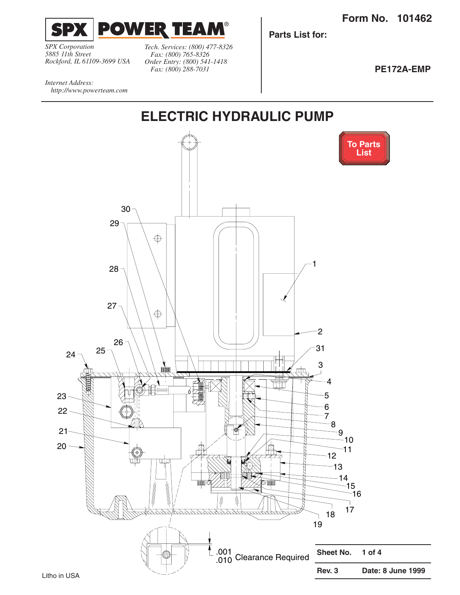<span id="page-0-0"></span>

*SPX Corporation 5885 11th Street Rockford, IL 61109-3699 USA*

*Tech. Services: (800) 477-8326 Fax: (800) 765-8326 Order Entry: (800) 541-1418 Fax: (800) 288-7031*

**Parts List for:**

**PE172A-EMP**

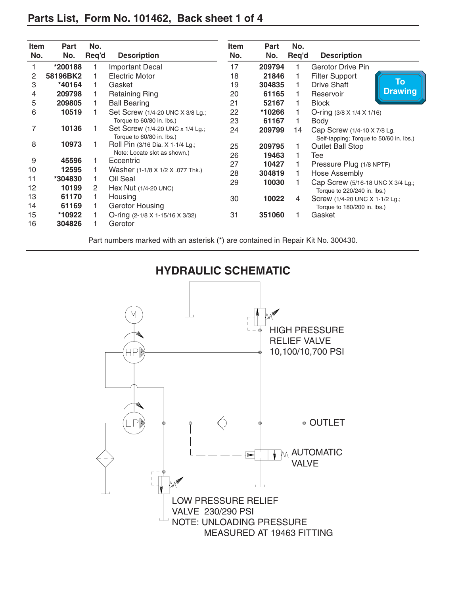## <span id="page-1-0"></span>**Parts List, Form No. 101462, Back sheet 1 of 4**

| <b>Item</b> | Part     | No.   |                                                               | <b>Item</b> | Part   | No.   |                                                                        |                              |
|-------------|----------|-------|---------------------------------------------------------------|-------------|--------|-------|------------------------------------------------------------------------|------------------------------|
| No.         | No.      | Req'd | <b>Description</b>                                            | No.         | No.    | Req'd | <b>Description</b>                                                     |                              |
|             | *200188  |       | <b>Important Decal</b>                                        | 17          | 209794 |       | <b>Gerotor Drive Pin</b>                                               |                              |
| 2           | 58196BK2 |       | <b>Electric Motor</b>                                         | 18          | 21846  |       | <b>Filter Support</b>                                                  |                              |
| 3           | *40164   |       | Gasket                                                        | 19          | 304835 |       | Drive Shaft                                                            | $\bar{\mathsf{T}}\mathsf{o}$ |
| 4           | 209798   |       | <b>Retaining Ring</b>                                         | 20          | 61165  |       | Reservoir                                                              | <b>Drawing</b>               |
| 5           | 209805   |       | <b>Ball Bearing</b>                                           | 21          | 52167  |       | <b>Block</b>                                                           |                              |
| 6           | 10519    |       | Set Screw (1/4-20 UNC X 3/8 Lg.;                              | 22          | *10266 |       | O-ring $(3/8 \times 1/4 \times 1/16)$                                  |                              |
|             |          |       | Torque to 60/80 in. lbs.)                                     | 23          | 61167  |       | <b>Body</b>                                                            |                              |
| 7           | 10136    |       | Set Screw (1/4-20 UNC x 1/4 Lg.;<br>Torque to 60/80 in. lbs.) | 24          | 209799 | 14    | Cap Screw (1/4-10 X 7/8 Lg.<br>Self-tapping; Torque to 50/60 in. lbs.) |                              |
| 8           | 10973    |       | Roll Pin (3/16 Dia. X 1-1/4 Lg.;                              | 25          | 209795 |       | <b>Outlet Ball Stop</b>                                                |                              |
|             |          |       | Note: Locate slot as shown.)                                  | 26          | 19463  |       | Tee                                                                    |                              |
| 9           | 45596    |       | Eccentric                                                     | 27          | 10427  |       | Pressure Plug (1/8 NPTF)                                               |                              |
| 10          | 12595    |       | Washer (1-1/8 X 1/2 X .077 Thk.)                              | 28          | 304819 |       | Hose Assembly                                                          |                              |
| 11          | *304830  |       | Oil Seal                                                      | 29          | 10030  |       | Cap Screw (5/16-18 UNC X 3/4 Lg.;                                      |                              |
| 12          | 10199    | 2     | Hex Nut $(1/4-20$ UNC)                                        |             |        |       | Torque to 220/240 in. lbs.)                                            |                              |
| 13          | 61170    |       | Housing                                                       | 30          | 10022  | 4     | Screw (1/4-20 UNC X 1-1/2 Lg.;                                         |                              |
| 14          | 61169    |       | Gerotor Housing                                               |             |        |       | Torque to 180/200 in. lbs.)                                            |                              |
| 15          | *10922   |       | O-ring (2-1/8 X 1-15/16 X 3/32)                               | 31          | 351060 |       | Gasket                                                                 |                              |
| 16          | 304826   |       | Gerotor                                                       |             |        |       |                                                                        |                              |

Part numbers marked with an asterisk (\*) are contained in Repair Kit No. 300430.



**HYDRAULIC SCHEMATIC**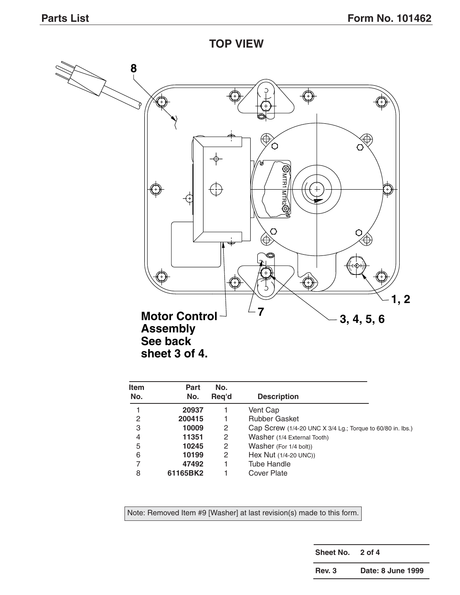**TOP VIEW**



| <b>Item</b><br>No. | Part<br>No. | No.<br>Reg'd | <b>Description</b>                                         |
|--------------------|-------------|--------------|------------------------------------------------------------|
|                    | 20937       |              | Vent Cap                                                   |
| 2                  | 200415      |              | <b>Rubber Gasket</b>                                       |
| 3                  | 10009       | 2            | Cap Screw (1/4-20 UNC X 3/4 Lg.; Torque to 60/80 in. lbs.) |
| 4                  | 11351       | 2            | Washer (1/4 External Tooth)                                |
| 5                  | 10245       | 2            | Washer (For 1/4 bolt))                                     |
| 6                  | 10199       | 2            | Hex Nut (1/4-20 UNC))                                      |
| 7                  | 47492       |              | <b>Tube Handle</b>                                         |
| 8                  | 61165BK2    |              | Cover Plate                                                |

Note: Removed Item #9 [Washer] at last revision(s) made to this form.

**Sheet No. 2 of 4**

**Rev. 3 Date: 8 June 1999**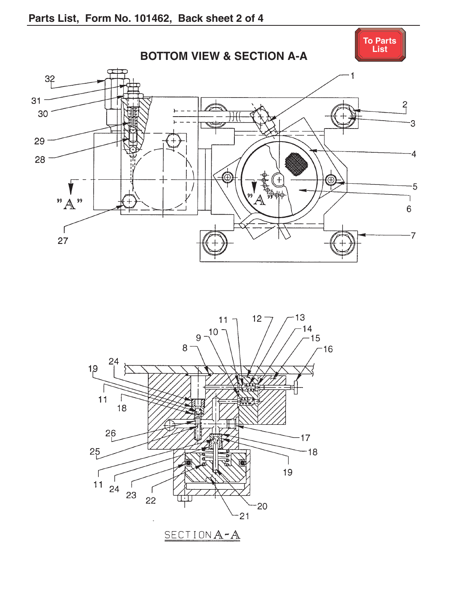<span id="page-3-0"></span>

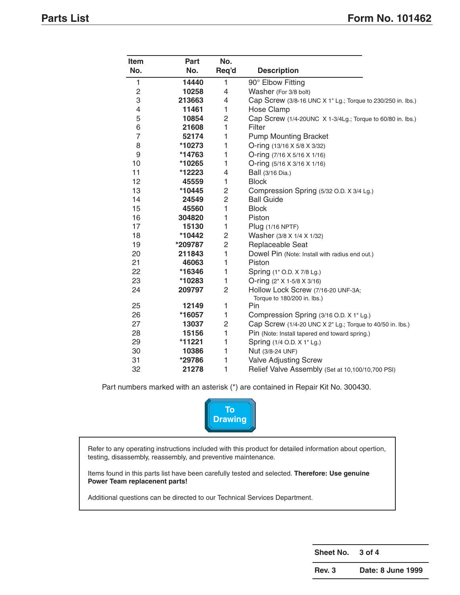<span id="page-4-0"></span>

| <b>Item</b>    | <b>Part</b> | No.            |                                                                   |
|----------------|-------------|----------------|-------------------------------------------------------------------|
| No.            | No.         | Req'd          | <b>Description</b>                                                |
| 1              | 14440       | 1              | 90° Elbow Fitting                                                 |
| 2              | 10258       | 4              | Washer (For 3/8 bolt)                                             |
| 3              | 213663      | 4              | Cap Screw (3/8-16 UNC X 1" Lg.; Torque to 230/250 in. lbs.)       |
| 4              | 11461       | 1              | <b>Hose Clamp</b>                                                 |
| 5              | 10854       | 2              | Cap Screw (1/4-20UNC X 1-3/4Lg.; Torque to 60/80 in. lbs.)        |
| 6              | 21608       | 1              | Filter                                                            |
| $\overline{7}$ | 52174       | 1              | <b>Pump Mounting Bracket</b>                                      |
| 8              | *10273      | 1              | O-ring (13/16 X 5/8 X 3/32)                                       |
| 9              | *14763      | 1              | O-ring (7/16 X 5/16 X 1/16)                                       |
| 10             | *10265      | 1              | O-ring (5/16 X 3/16 X 1/16)                                       |
| 11             | *12223      | 4              | Ball (3/16 Dia.)                                                  |
| 12             | 45559       | 1              | <b>Block</b>                                                      |
| 13             | *10445      | 2              | Compression Spring (5/32 O.D. X 3/4 Lg.)                          |
| 14             | 24549       | $\overline{c}$ | <b>Ball Guide</b>                                                 |
| 15             | 45560       | 1              | <b>Block</b>                                                      |
| 16             | 304820      | 1              | Piston                                                            |
| 17             | 15130       | 1              | Plug (1/16 NPTF)                                                  |
| 18             | *10442      | $\overline{c}$ | Washer (3/8 X 1/4 X 1/32)                                         |
| 19             | *209787     | $\overline{c}$ | Replaceable Seat                                                  |
| 20             | 211843      | $\mathbf{1}$   | Dowel Pin (Note: Install with radius end out.)                    |
| 21             | 46063       | 1              | Piston                                                            |
| 22             | *16346      | 1              | Spring (1" O.D. X 7/8 Lg.)                                        |
| 23             | *10283      | 1              | O-ring $(2" X 1-5/8 X 3/16)$                                      |
| 24             | 209797      | $\overline{2}$ | Hollow Lock Screw (7/16-20 UNF-3A;<br>Torque to 180/200 in. lbs.) |
| 25             | 12149       | 1              | Pin                                                               |
| 26             | *16057      | 1              | Compression Spring (3/16 O.D. X 1" Lg.)                           |
| 27             | 13037       | 2              | Cap Screw (1/4-20 UNC X 2" Lg.; Torque to 40/50 in. lbs.)         |
| 28             | 15156       | 1              | Pin (Note: Install tapered end toward spring.)                    |
| 29             | *11221      | 1              | Spring (1/4 O.D. X 1" Lg.)                                        |
| 30             | 10386       | 1              | Nut (3/8-24 UNF)                                                  |
| 31             | *29786      | 1              | <b>Valve Adjusting Screw</b>                                      |
| 32             | 21278       | 1              | Relief Valve Assembly (Set at 10,100/10,700 PSI)                  |

Part numbers marked with an asterisk (\*) are contained in Repair Kit No. 300430.



Refer to any operating instructions included with this product for detailed information about opertion, testing, disassembly, reassembly, and preventive maintenance.

Items found in this parts list have been carefully tested and selected. **Therefore: Use genuine Power Team replacenent parts!**

Additional questions can be directed to our Technical Services Department.

**Sheet No. 3 of 4**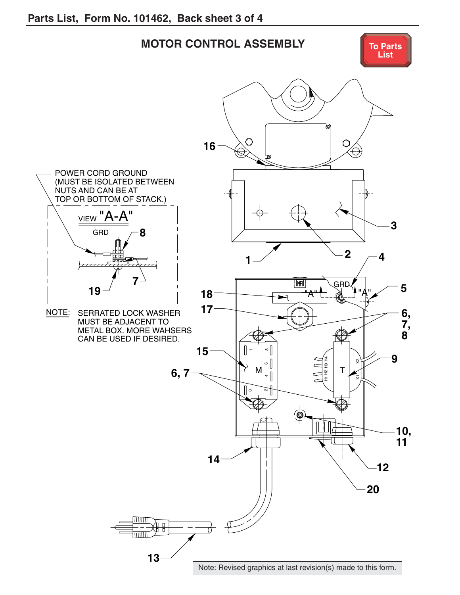<span id="page-5-0"></span>